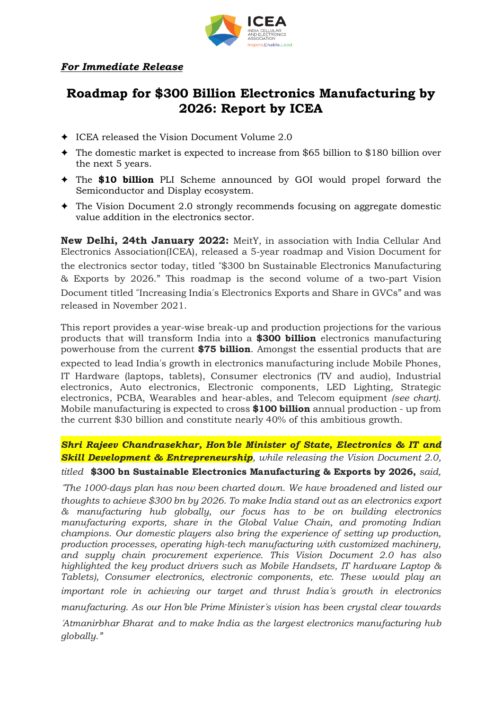

## *For Immediate Release*

## **Roadmap for \$300 Billion Electronics Manufacturing by 2026: Report by ICEA**

- ✦ ICEA released the Vision Document Volume 2.0
- ✦ The domestic market is expected to increase from \$65 billion to \$180 billion over the next 5 years.
- ✦ The **\$10 billion** PLI Scheme announced by GOI would propel forward the Semiconductor and Display ecosystem.
- ✦ The Vision Document 2.0 strongly recommends focusing on aggregate domestic value addition in the electronics sector.

**New Delhi, 24th January 2022:** MeitY, in association with India Cellular And Electronics Association(ICEA), released a 5-year roadmap and Vision Document for the electronics sector today, titled "\$300 bn Sustainable Electronics Manufacturing & Exports by 2026." This roadmap is the second volume of a two-part Vision Document titled "Increasing India's Electronics Exports and Share in GVCs" and was released in November 2021.

This report provides a year-wise break-up and production projections for the various products that will transform India into a **\$300 billion** electronics manufacturing powerhouse from the current **\$75 billion**. Amongst the essential products that are

expected to lead India's growth in electronics manufacturing include Mobile Phones, IT Hardware (laptops, tablets), Consumer electronics (TV and audio), Industrial electronics, Auto electronics, Electronic components, LED Lighting, Strategic electronics, PCBA, Wearables and hear-ables, and Telecom equipment *(see chart).* Mobile manufacturing is expected to cross **\$100 billion** annual production - up from the current \$30 billion and constitute nearly 40% of this ambitious growth.

*Shri Rajeev Chandrasekhar, Hon*'*ble Minister of State, Electronics & IT and Skill Development & Entrepreneurship, while releasing the Vision Document 2.0, titled* **\$300 bn Sustainable Electronics Manufacturing & Exports by 2026,** *said,*

"*The 1000-days plan has now been charted down. We have broadened and listed our thoughts to achieve \$300 bn by 2026. To make India stand out as an electronics export & manufacturing hub globally, our focus has to be on building electronics manufacturing exports, share in the Global Value Chain, and promoting Indian champions. Our domestic players also bring the experience of setting up production, production processes, operating high-tech manufacturing with customized machinery, and supply chain procurement experience. This Vision Document 2.0 has also highlighted the key product drivers such as Mobile Handsets, IT hardware Laptop & Tablets), Consumer electronics, electronic components, etc. These would play an important role in achieving our target and thrust India*'*s growth in electronics manufacturing. As our Hon*'*ble Prime Minister*'*s vision has been crystal clear towards*

'*Atmanirbhar Bharat and to make India as the largest electronics manufacturing hub globally."*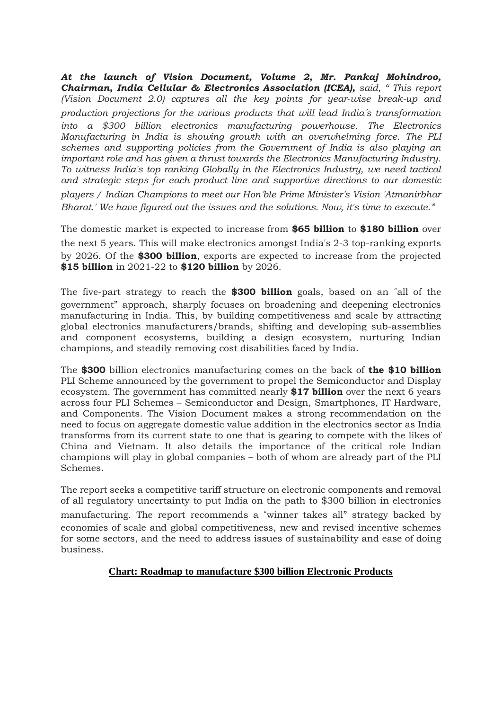*At the launch of Vision Document, Volume 2, Mr. Pankaj Mohindroo, Chairman, India Cellular & Electronics Association (ICEA), said, " This report (Vision Document 2.0) captures all the key points for year-wise break-up and production projections for the various products that will lead India*'*s transformation into a \$300 billion electronics manufacturing powerhouse. The Electronics Manufacturing in India is showing growth with an overwhelming force. The PLI schemes and supporting policies from the Government of India is also playing an important role and has given a thrust towards the Electronics Manufacturing Industry. To witness India's top ranking Globally in the Electronics Industry, we need tactical and strategic steps for each product line and supportive directions to our domestic players / Indian Champions to meet our Hon*'*ble Prime Minister*'*s Vision 'Atmanirbhar Bharat.' We have figured out the issues and the solutions. Now, it's time to execute."*

The domestic market is expected to increase from **\$65 billion** to **\$180 billion** over the next 5 years. This will make electronics amongst India's 2-3 top-ranking exports by 2026. Of the **\$300 billion**, exports are expected to increase from the projected **\$15 billion** in 2021-22 to **\$120 billion** by 2026.

The five-part strategy to reach the **\$300 billion** goals, based on an "all of the government" approach, sharply focuses on broadening and deepening electronics manufacturing in India. This, by building competitiveness and scale by attracting global electronics manufacturers/brands, shifting and developing sub-assemblies and component ecosystems, building a design ecosystem, nurturing Indian champions, and steadily removing cost disabilities faced by India.

The **\$300** billion electronics manufacturing comes on the back of **the \$10 billion** PLI Scheme announced by the government to propel the Semiconductor and Display ecosystem. The government has committed nearly **\$17 billion** over the next 6 years across four PLI Schemes – Semiconductor and Design, Smartphones, IT Hardware, and Components. The Vision Document makes a strong recommendation on the need to focus on aggregate domestic value addition in the electronics sector as India transforms from its current state to one that is gearing to compete with the likes of China and Vietnam. It also details the importance of the critical role Indian champions will play in global companies – both of whom are already part of the PLI Schemes.

The report seeks a competitive tariff structure on electronic components and removal of all regulatory uncertainty to put India on the path to \$300 billion in electronics manufacturing. The report recommends a "winner takes all" strategy backed by economies of scale and global competitiveness, new and revised incentive schemes for some sectors, and the need to address issues of sustainability and ease of doing business.

## **Chart: Roadmap to manufacture \$300 billion Electronic Products**